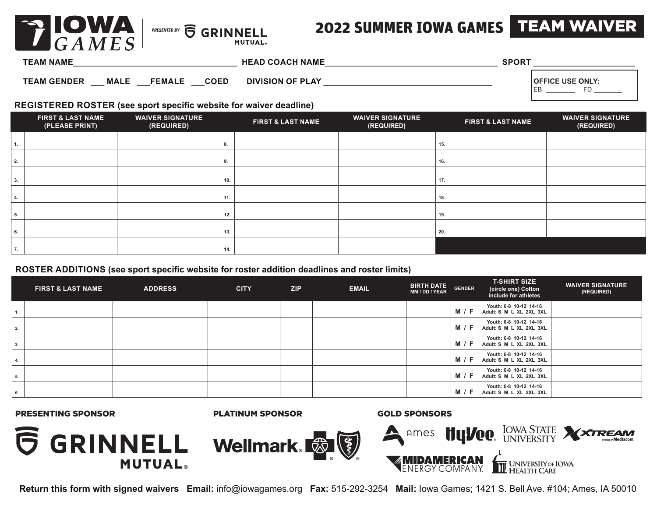

## 2022 SUMMER IOWA GAMES TEAM WAIVER

| <b>TEAM NAME</b>                  |                              | <b>HEAD COACH NAME</b>  | <b>SPORT</b> |                         |
|-----------------------------------|------------------------------|-------------------------|--------------|-------------------------|
| <b>MALE</b><br><b>TEAM GENDER</b> | <b>COED</b><br><b>FEMALE</b> | <b>DIVISION OF PLAY</b> |              | <b>OFFICE USE ONLY:</b> |

#### **REGISTERED ROSTER (see sport specific website for waiver deadline)**

|    | <b>FIRST &amp; LAST NAME</b><br>(PLEASE PRINT) | <b>WAIVER SIGNATURE</b><br>(REQUIRED) |     | <b>FIRST &amp; LAST NAME</b> | <b>WAIVER SIGNATURE</b><br>(REQUIRED) |     | <b>FIRST &amp; LAST NAME</b> | <b>WAIVER SIGNATURE</b><br>(REQUIRED) |
|----|------------------------------------------------|---------------------------------------|-----|------------------------------|---------------------------------------|-----|------------------------------|---------------------------------------|
| 1. |                                                |                                       |     |                              |                                       | 15. |                              |                                       |
| 2. |                                                |                                       | 9.  |                              |                                       | 16. |                              |                                       |
| 3. |                                                |                                       | 10. |                              |                                       | 17. |                              |                                       |
| 4. |                                                |                                       | 11. |                              |                                       | 18. |                              |                                       |
| 5. |                                                |                                       | 12. |                              |                                       | 19. |                              |                                       |
| 6. |                                                |                                       | 13. |                              |                                       | 20. |                              |                                       |
| 7. |                                                |                                       | 14. |                              |                                       |     |                              |                                       |

#### **ROSTER ADDITIONS (see sport specific website for roster addition deadlines and roster limits)**

|    | <b>FIRST &amp; LAST NAME</b> | <b>ADDRESS</b> | <b>CITY</b> | ZIP | <b>EMAIL</b> | <b>BIRTH DATE</b><br>MM / DD / YEAR | <b>GENDER</b> | <b>T-SHIRT SIZE</b><br>(circle one) Cotton<br>include for athletes | <b>WAIVER SIGNATURE</b><br>(REQUIRED) |
|----|------------------------------|----------------|-------------|-----|--------------|-------------------------------------|---------------|--------------------------------------------------------------------|---------------------------------------|
|    |                              |                |             |     |              |                                     | <b>M</b> / F  | Youth: 6-8 10-12 14-16<br>Adult: S M L XL 2XL 3XL                  |                                       |
| 2. |                              |                |             |     |              |                                     | <b>M</b> / F  | Youth: 6-8 10-12 14-16<br>Adult: S M L XL 2XL 3XL                  |                                       |
| 3. |                              |                |             |     |              |                                     | <b>M</b> / F  | Youth: 6-8 10-12 14-16<br>Adult: S M L XL 2XL 3XL                  |                                       |
|    |                              |                |             |     |              |                                     | <b>M</b> / F  | Youth: 6-8 10-12 14-16<br>Adult: S M L XL 2XL 3XL                  |                                       |
| 5. |                              |                |             |     |              |                                     | <b>M</b> / F  | Youth: 6-8 10-12 14-16<br>Adult: S M L XL 2XL 3XL                  |                                       |
| 6. |                              |                |             |     |              |                                     | M / F         | Youth: 6-8 10-12 14-16<br>Adult: S M L XL 2XL 3XL                  |                                       |

PRESENTING SPONSOR PLATINUM SPONSOR GOLD SPONSORS



**Return this form with signed waivers Email:** info@iowagames.org **Fax:** 515-292-3254 **Mail:** Iowa Games; 1421 S. Bell Ave. #104; Ames, IA 50010